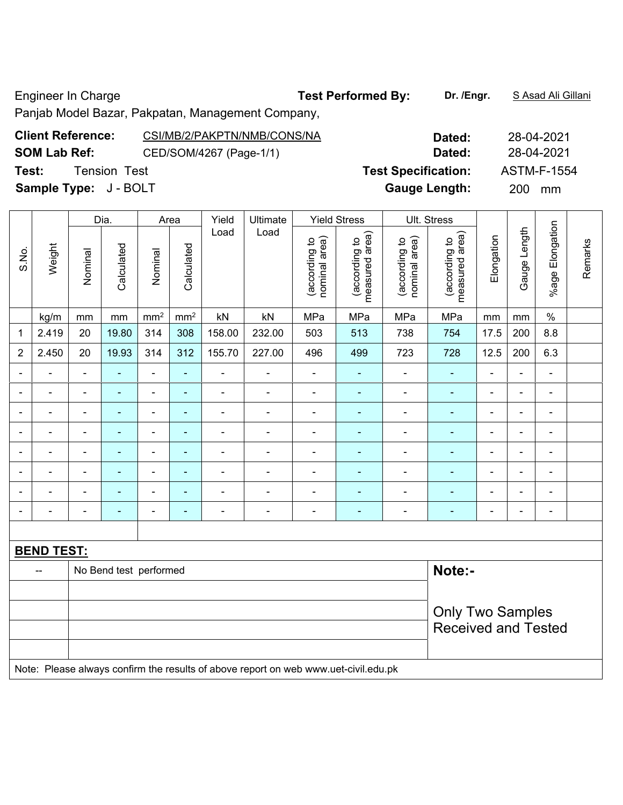Engineer In Charge **Test Performed By:** Dr. /Engr. **SAsad Ali Gillani Engineer** In Charge

Panjab Model Bazar, Pakpatan, Management Company,

| <b>Client Reference:</b><br>CSI/MB/2/PAKPTN/NMB/CONS/NA | Dated:                     | 28-04-2021         |
|---------------------------------------------------------|----------------------------|--------------------|
| <b>SOM Lab Ref:</b><br>CED/SOM/4267 (Page-1/1)          | Dated:                     | 28-04-2021         |
| Test:<br><b>Tension Test</b>                            | <b>Test Specification:</b> | <b>ASTM-F-1554</b> |
| <b>Sample Type:</b> J - BOLT                            | <b>Gauge Length:</b>       | <b>200</b><br>mm   |

|                          |                   |                | Dia.                   |                          | Area                     | Yield                    | Ultimate       |                                | <b>Yield Stress</b>             |                                | Ult. Stress                     |                |                              |                              |         |
|--------------------------|-------------------|----------------|------------------------|--------------------------|--------------------------|--------------------------|----------------|--------------------------------|---------------------------------|--------------------------------|---------------------------------|----------------|------------------------------|------------------------------|---------|
| S.No.                    | Weight            | Nominal        | Calculated             | Nominal                  | Calculated               | Load                     | Load           | nominal area)<br>(according to | measured area)<br>(according to | nominal area)<br>(according to | measured area)<br>(according to | Elongation     | Gauge Length                 | %age Elongation              | Remarks |
|                          | kg/m              | mm             | mm                     | mm <sup>2</sup>          | $\text{mm}^2$            | kN                       | kN             | MPa                            | MPa                             | MPa                            | MPa                             | mm             | mm                           | $\%$                         |         |
| 1                        | 2.419             | 20             | 19.80                  | 314                      | 308                      | 158.00                   | 232.00         | 503                            | 513                             | 738                            | 754                             | 17.5           | 200                          | 8.8                          |         |
| $\overline{2}$           | 2.450             | 20             | 19.93                  | 314                      | 312                      | 155.70                   | 227.00         | 496                            | 499                             | 723                            | 728                             | 12.5           | 200                          | 6.3                          |         |
|                          |                   | $\blacksquare$ |                        | $\blacksquare$           | ä,                       |                          | $\blacksquare$ | $\blacksquare$                 | ۰                               | $\blacksquare$                 | ÷,                              |                | Ē,                           | $\blacksquare$               |         |
| $\overline{\phantom{0}}$ | ä,                | $\blacksquare$ | $\blacksquare$         | $\blacksquare$           | $\blacksquare$           | $\blacksquare$           | $\blacksquare$ | $\overline{\phantom{a}}$       | ٠                               | ۰                              | $\blacksquare$                  | $\blacksquare$ | $\blacksquare$               | $\overline{\phantom{a}}$     |         |
|                          | ÷                 | $\blacksquare$ | $\blacksquare$         | $\overline{\phantom{a}}$ | ÷                        | $\blacksquare$           | $\blacksquare$ | $\blacksquare$                 | ٠                               | ÷,                             | ä,                              | $\blacksquare$ | $\blacksquare$               | $\blacksquare$               |         |
| $\overline{\phantom{0}}$ | -                 | ۰              | $\blacksquare$         | $\overline{\phantom{a}}$ | $\blacksquare$           | $\blacksquare$           | ۰              | $\qquad \qquad \blacksquare$   | $\overline{\phantom{0}}$        | $\qquad \qquad \blacksquare$   | ۰                               | $\blacksquare$ | $\qquad \qquad \blacksquare$ | $\qquad \qquad \blacksquare$ |         |
|                          |                   |                | $\blacksquare$         | $\overline{\phantom{a}}$ | $\overline{\phantom{0}}$ | $\blacksquare$           |                |                                |                                 | -                              |                                 |                | ۰                            | $\blacksquare$               |         |
|                          |                   |                |                        | $\overline{a}$           | ٠                        |                          |                |                                |                                 | ۰                              | ۰                               | $\blacksquare$ | $\blacksquare$               | $\blacksquare$               |         |
|                          | $\overline{a}$    | $\blacksquare$ | $\blacksquare$         | $\overline{\phantom{a}}$ | $\overline{\phantom{0}}$ | $\blacksquare$           | $\blacksquare$ | $\qquad \qquad \blacksquare$   | $\blacksquare$                  | ۰                              |                                 | ٠              | $\blacksquare$               | $\blacksquare$               |         |
|                          |                   | $\blacksquare$ | ۰                      | $\blacksquare$           | $\blacksquare$           | $\overline{\phantom{0}}$ | $\blacksquare$ | $\qquad \qquad \blacksquare$   | ۰                               | ۰                              |                                 | $\blacksquare$ | $\blacksquare$               | $\overline{\phantom{a}}$     |         |
|                          |                   |                |                        |                          |                          |                          |                |                                |                                 |                                |                                 |                |                              |                              |         |
|                          | <b>BEND TEST:</b> |                |                        |                          |                          |                          |                |                                |                                 |                                |                                 |                |                              |                              |         |
|                          | $-$               |                | No Bend test performed |                          | Note:-                   |                          |                |                                |                                 |                                |                                 |                |                              |                              |         |
|                          |                   |                |                        |                          |                          |                          |                |                                |                                 |                                |                                 |                |                              |                              |         |
|                          |                   |                |                        |                          |                          |                          |                |                                |                                 |                                | <b>Only Two Samples</b>         |                |                              |                              |         |
|                          |                   |                |                        |                          |                          |                          |                |                                |                                 |                                | <b>Received and Tested</b>      |                |                              |                              |         |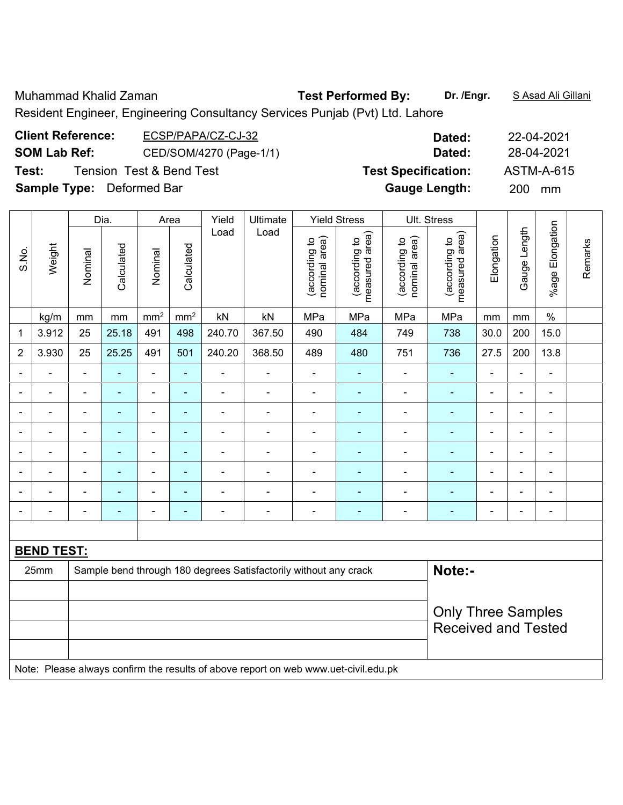Muhammad Khalid Zaman **Test Performed By:** Dr. /Engr. **SAsad Ali Gillani** 

Resident Engineer, Engineering Consultancy Services Punjab (Pvt) Ltd. Lahore

| <b>Client Reference:</b>         | ECSP/PAPA/CZ-CJ-32                  | Dated:                     | 22-04-2021 |
|----------------------------------|-------------------------------------|----------------------------|------------|
| <b>SOM Lab Ref:</b>              | CED/SOM/4270 (Page-1/1)             | Dated:                     | 28-04-2021 |
| Test:                            | <b>Tension Test &amp; Bend Test</b> | <b>Test Specification:</b> | ASTM-A-615 |
| <b>Sample Type:</b> Deformed Bar |                                     | <b>Gauge Length:</b>       | 200 mm     |

|                              |                   |                | Dia.                     |                          | Area            | Yield                        | Ultimate                                                                                          |                                | <b>Yield Stress</b>             |                                | Ult. Stress                     |                          |                |                          |         |
|------------------------------|-------------------|----------------|--------------------------|--------------------------|-----------------|------------------------------|---------------------------------------------------------------------------------------------------|--------------------------------|---------------------------------|--------------------------------|---------------------------------|--------------------------|----------------|--------------------------|---------|
| S.No.                        | Weight            | Nominal        | Calculated               | Nominal                  | Calculated      | Load                         | Load                                                                                              | nominal area)<br>(according to | measured area)<br>(according to | (according to<br>nominal area) | measured area)<br>(according to | Elongation               | Gauge Length   | %age Elongation          | Remarks |
|                              | kg/m              | mm             | $\,mm$                   | mm <sup>2</sup>          | mm <sup>2</sup> | kN                           | kN                                                                                                | MPa                            | MPa                             | MPa                            | MPa                             | mm                       | mm             | $\%$                     |         |
| 1                            | 3.912             | 25             | 25.18                    | 491                      | 498             | 240.70                       | 367.50                                                                                            | 490                            | 484                             | 749                            | 738                             | 30.0                     | 200            | 15.0                     |         |
| $\sqrt{2}$                   | 3.930             | 25             | 25.25                    | 491                      | 501             | 240.20                       | 368.50                                                                                            | 489                            | 480                             | 751                            | 736                             | 27.5                     | 200            | 13.8                     |         |
| $\qquad \qquad \blacksquare$ | ÷,                | $\blacksquare$ | $\blacksquare$           | $\blacksquare$           | $\blacksquare$  | $\qquad \qquad \blacksquare$ | $\overline{\phantom{a}}$                                                                          | $\qquad \qquad \blacksquare$   | $\blacksquare$                  | $\qquad \qquad \blacksquare$   | ٠                               | $\overline{\phantom{a}}$ | $\blacksquare$ | $\blacksquare$           |         |
| ۰                            | ۰                 | $\blacksquare$ | $\blacksquare$           | $\overline{\phantom{0}}$ | $\blacksquare$  | $\blacksquare$               | ۰                                                                                                 | $\overline{\phantom{a}}$       | $\blacksquare$                  | $\qquad \qquad \blacksquare$   | $\blacksquare$                  | $\overline{\phantom{0}}$ | $\blacksquare$ | $\blacksquare$           |         |
|                              |                   |                | $\blacksquare$           | $\blacksquare$           | ٠               |                              |                                                                                                   | $\blacksquare$                 | $\blacksquare$                  |                                | ۰                               |                          |                | $\overline{\phantom{0}}$ |         |
| ۰                            | $\blacksquare$    |                | ٠                        | $\blacksquare$           | ۰               | $\blacksquare$               |                                                                                                   | -                              |                                 |                                | ۰                               |                          | ä,             | $\blacksquare$           |         |
| $\blacksquare$               | $\blacksquare$    |                | $\blacksquare$           | $\blacksquare$           | $\blacksquare$  | $\blacksquare$               |                                                                                                   | -                              | $\overline{\phantom{0}}$        | ۰                              | ۰                               | -                        | $\overline{a}$ | $\overline{\phantom{a}}$ |         |
|                              | $\blacksquare$    |                | $\overline{\phantom{0}}$ | $\overline{\phantom{0}}$ | ٠               | $\blacksquare$               | $\blacksquare$                                                                                    |                                | $\overline{\phantom{0}}$        | ۰                              | $\overline{\phantom{0}}$        | $\overline{\phantom{0}}$ | L,             | $\blacksquare$           |         |
|                              |                   |                | ۰                        | $\blacksquare$           | ÷               |                              |                                                                                                   |                                |                                 |                                |                                 |                          | $\blacksquare$ | $\blacksquare$           |         |
|                              |                   |                |                          | $\blacksquare$           | ۰               |                              |                                                                                                   | -                              |                                 |                                | ۰                               |                          | ÷              | $\blacksquare$           |         |
|                              |                   |                |                          |                          |                 |                              |                                                                                                   |                                |                                 |                                |                                 |                          |                |                          |         |
|                              | <b>BEND TEST:</b> |                |                          |                          |                 |                              |                                                                                                   |                                |                                 |                                |                                 |                          |                |                          |         |
|                              | 25mm              |                |                          |                          |                 |                              | Sample bend through 180 degrees Satisfactorily without any crack                                  |                                |                                 |                                | Note:-                          |                          |                |                          |         |
|                              |                   |                |                          |                          |                 |                              |                                                                                                   |                                |                                 |                                |                                 |                          |                |                          |         |
|                              |                   |                |                          |                          |                 |                              |                                                                                                   |                                |                                 |                                | <b>Only Three Samples</b>       |                          |                |                          |         |
|                              |                   |                |                          |                          |                 |                              |                                                                                                   |                                |                                 |                                | <b>Received and Tested</b>      |                          |                |                          |         |
|                              |                   |                |                          |                          |                 |                              |                                                                                                   |                                |                                 |                                |                                 |                          |                |                          |         |
|                              |                   |                |                          |                          |                 |                              | Mater Disease showers agadhous the president of charge program and consideration of shall advised |                                |                                 |                                |                                 |                          |                |                          |         |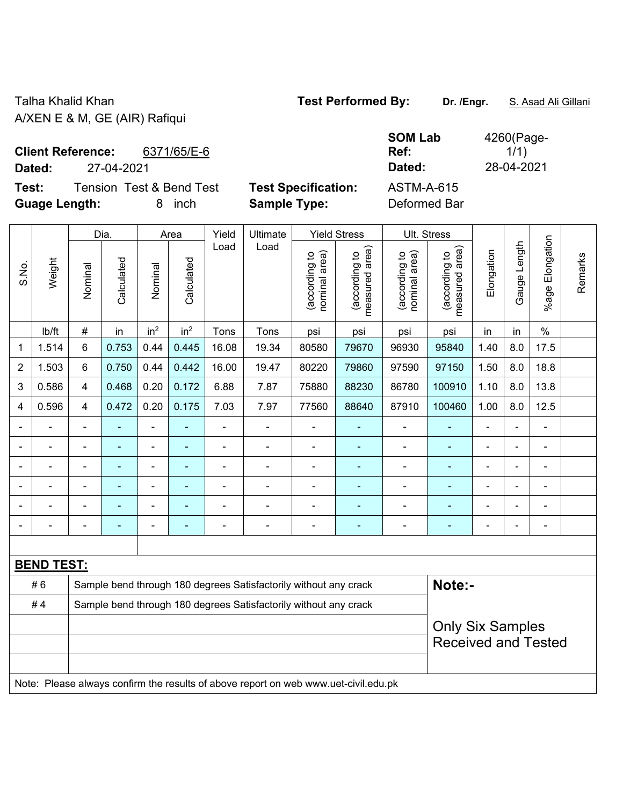Talha Khalid Khan **Test Performed By: Dr. /Engr.** S. Asad Ali Gillani A/XEN E & M, GE (AIR) Rafiqui

| <b>Client Reference:</b> |            | 6371/65/E-6 |
|--------------------------|------------|-------------|
| Dated:                   | 27-04-2021 |             |

**Test:** Tension Test & Bend Test **Test Specification:** ASTM-A-615 **Guage Length:** 8 inch **Sample Type:** Deformed Bar

**SOM Lab Ref:**  4260(Page- $1/1)$ **Dated:** 27-04-2021 **Dated:** 28-04-2021

|                |                   |                | Dia.                                                             |                          | Area            | Yield          | Ultimate                                                         |                                | <b>Yield Stress</b>             |                                | Ult. Stress                     |                |                |                       |         |
|----------------|-------------------|----------------|------------------------------------------------------------------|--------------------------|-----------------|----------------|------------------------------------------------------------------|--------------------------------|---------------------------------|--------------------------------|---------------------------------|----------------|----------------|-----------------------|---------|
| S.No.          | Weight            | Nominal        | Calculated                                                       | Nominal                  | Calculated      | Load           | Load                                                             | nominal area)<br>(according to | measured area)<br>(according to | (according to<br>nominal area) | measured area)<br>(according to | Elongation     | Gauge Length   | Elongation<br>$%$ age | Remarks |
|                | lb/ft             | $\#$           | in                                                               | in <sup>2</sup>          | in <sup>2</sup> | Tons           | Tons                                                             | psi                            | psi                             | psi                            | psi                             | in             | in             | $\%$                  |         |
| $\mathbf 1$    | 1.514             | $6\phantom{1}$ | 0.753                                                            | 0.44                     | 0.445           | 16.08          | 19.34                                                            | 80580                          | 79670                           | 96930                          | 95840                           | 1.40           | 8.0            | 17.5                  |         |
| $\overline{2}$ | 1.503             | 6              | 0.750                                                            | 0.44                     | 0.442           | 16.00          | 19.47                                                            | 80220                          | 79860                           | 97590                          | 97150                           | 1.50           | 8.0            | 18.8                  |         |
| 3              | 0.586             | 4              | 0.468                                                            | 0.20                     | 0.172           | 6.88           | 7.87                                                             | 75880                          | 88230                           | 86780                          | 100910                          | 1.10           | 8.0            | 13.8                  |         |
| 4              | 0.596             | $\overline{4}$ | 0.472                                                            | 0.20                     | 0.175           | 7.03           | 7.97                                                             | 77560                          | 88640                           | 87910                          | 100460                          | 1.00           | 8.0            | 12.5                  |         |
|                |                   | $\blacksquare$ |                                                                  | ä,                       |                 | $\blacksquare$ | ä,                                                               |                                |                                 |                                |                                 | $\blacksquare$ | $\blacksquare$ |                       |         |
|                |                   |                | ۰                                                                | ۰                        |                 |                | $\blacksquare$                                                   | $\blacksquare$                 |                                 |                                |                                 | ۰              |                |                       |         |
| ۰              |                   | $\blacksquare$ | ۰                                                                | $\blacksquare$           |                 | $\blacksquare$ | $\blacksquare$                                                   | $\blacksquare$                 | ۰                               | $\blacksquare$                 |                                 | ۰              | $\blacksquare$ | $\blacksquare$        |         |
| ۰              |                   | $\blacksquare$ | ۰                                                                | $\overline{\phantom{a}}$ |                 | $\blacksquare$ | $\blacksquare$                                                   | $\blacksquare$                 | $\blacksquare$                  | $\blacksquare$                 |                                 | ۰              | ۰              | $\blacksquare$        |         |
|                |                   | $\blacksquare$ | ۰                                                                | $\overline{\phantom{a}}$ | ٠               | $\blacksquare$ | $\blacksquare$                                                   | $\blacksquare$                 | ۰                               | $\blacksquare$                 | $\blacksquare$                  | ۰              | ۳              | $\blacksquare$        |         |
|                |                   |                |                                                                  |                          |                 |                |                                                                  |                                |                                 |                                |                                 |                |                | $\blacksquare$        |         |
|                |                   |                |                                                                  |                          |                 |                |                                                                  |                                |                                 |                                |                                 |                |                |                       |         |
|                | <b>BEND TEST:</b> |                |                                                                  |                          |                 |                |                                                                  |                                |                                 |                                |                                 |                |                |                       |         |
|                | #6                |                | Sample bend through 180 degrees Satisfactorily without any crack |                          |                 |                |                                                                  |                                |                                 |                                |                                 | Note:-         |                |                       |         |
|                | #4                |                |                                                                  |                          |                 |                | Sample bend through 180 degrees Satisfactorily without any crack |                                |                                 |                                |                                 |                |                |                       |         |
|                |                   |                |                                                                  |                          |                 |                |                                                                  |                                |                                 |                                | <b>Only Six Samples</b>         |                |                |                       |         |
|                |                   |                |                                                                  |                          |                 |                |                                                                  |                                |                                 |                                | <b>Received and Tested</b>      |                |                |                       |         |
|                |                   |                |                                                                  |                          |                 |                |                                                                  |                                |                                 |                                |                                 |                |                |                       |         |
|                |                   |                |                                                                  |                          |                 |                |                                                                  |                                |                                 |                                |                                 |                |                |                       |         |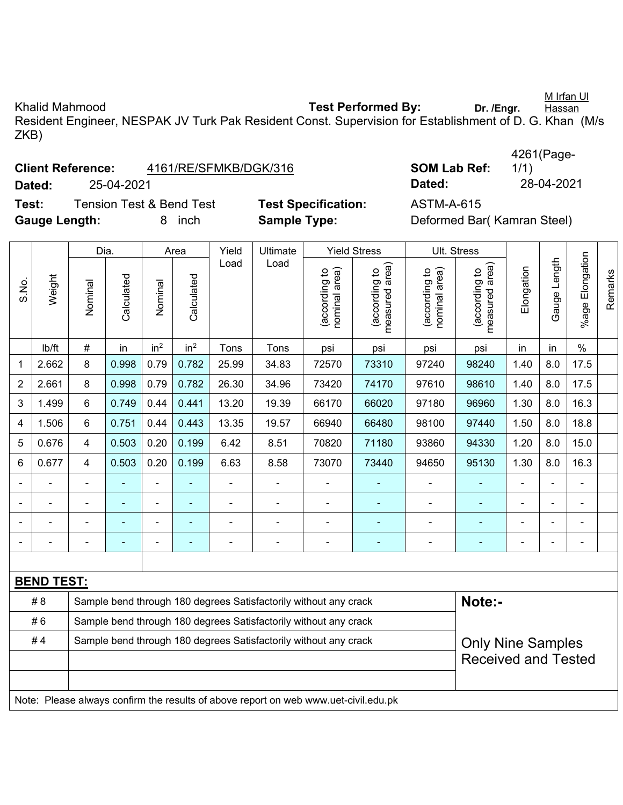Khalid Mahmood **Test Performed By:** Dr. /Engr. Hassan Resident Engineer, NESPAK JV Turk Pak Resident Const. Supervision for Establishment of D. G. Khan (M/s ZKB)

| <b>Client Reference:</b> | 4161/RE/SFMKB/DGK/316 |
|--------------------------|-----------------------|
|--------------------------|-----------------------|

**Test:** Tension Test & Bend Test **Test Specification:** ASTM-A-615 **Gauge Length:** 8 inch **Sample Type:** Deformed Bar( Kamran Steel)

**SOM Lab Ref:** 4261(Page-1/1) **Dated:** 25-04-2021 **Dated:** 28-04-2021

|                          |                                                                                     | Dia.                                                             |            |                          | Area            | Yield          | <b>Ultimate</b>                                                  |                                | <b>Yield Stress</b>             |                                | Ult. Stress                     |                          |                |                 |         |
|--------------------------|-------------------------------------------------------------------------------------|------------------------------------------------------------------|------------|--------------------------|-----------------|----------------|------------------------------------------------------------------|--------------------------------|---------------------------------|--------------------------------|---------------------------------|--------------------------|----------------|-----------------|---------|
| S.No.                    | Weight                                                                              | Nominal                                                          | Calculated | Nominal                  | Calculated      | Load           | Load                                                             | nominal area)<br>(according to | measured area)<br>(according to | nominal area)<br>(according to | measured area)<br>(according to | Elongation               | Gauge Length   | %age Elongation | Remarks |
|                          | lb/ft                                                                               | $\#$                                                             | in         | in <sup>2</sup>          | in <sup>2</sup> | Tons           | Tons                                                             | psi                            | psi                             | psi                            | psi                             | in                       | in             | $\frac{0}{0}$   |         |
| 1                        | 2.662                                                                               | 8                                                                | 0.998      | 0.79                     | 0.782           | 25.99          | 34.83                                                            | 72570                          | 73310                           | 97240                          | 98240                           | 1.40                     | 8.0            | 17.5            |         |
| $\overline{2}$           | 2.661                                                                               | 8                                                                | 0.998      | 0.79                     | 0.782           | 26.30          | 34.96                                                            | 73420                          | 74170                           | 97610                          | 98610                           | 1.40                     | 8.0            | 17.5            |         |
| 3                        | 1.499                                                                               | 6                                                                | 0.749      | 0.44                     | 0.441           | 13.20          | 19.39                                                            | 66170                          | 66020                           | 97180                          | 96960                           | 1.30                     | 8.0            | 16.3            |         |
| 4                        | 1.506                                                                               | $6\phantom{1}$                                                   | 0.751      | 0.44                     | 0.443           | 13.35          | 19.57                                                            | 66940                          | 66480                           | 98100                          | 97440                           | 1.50                     | 8.0            | 18.8            |         |
| 5                        | 0.676                                                                               | $\overline{4}$                                                   | 0.503      | 0.20                     | 0.199           | 6.42           | 8.51                                                             | 70820                          | 71180                           | 93860                          | 94330                           | 1.20                     | 8.0            | 15.0            |         |
| 6                        | 0.677                                                                               | $\overline{4}$                                                   | 0.503      | 0.20                     | 0.199           | 6.63           | 8.58                                                             | 73070                          | 73440                           | 94650                          | 95130                           | 1.30                     | 8.0            | 16.3            |         |
|                          |                                                                                     | $\blacksquare$                                                   |            | $\blacksquare$           |                 | $\blacksquare$ | ÷,                                                               |                                |                                 |                                |                                 | $\blacksquare$           |                |                 |         |
|                          |                                                                                     | $\blacksquare$                                                   |            | Ē,                       |                 |                | L,                                                               |                                |                                 |                                |                                 |                          |                |                 |         |
| $\overline{\phantom{0}}$ |                                                                                     | $\blacksquare$                                                   |            | $\overline{\phantom{0}}$ |                 |                | ä,                                                               | $\blacksquare$                 |                                 | $\blacksquare$                 | $\blacksquare$                  |                          |                | ۳               |         |
| $\overline{\phantom{a}}$ |                                                                                     | $\blacksquare$                                                   |            | $\blacksquare$           |                 | ä,             | $\overline{a}$                                                   | $\blacksquare$                 | $\blacksquare$                  | ÷                              | $\blacksquare$                  | ä,                       | $\blacksquare$ | $\blacksquare$  |         |
|                          |                                                                                     |                                                                  |            |                          |                 |                |                                                                  |                                |                                 |                                |                                 |                          |                |                 |         |
|                          | <b>BEND TEST:</b>                                                                   |                                                                  |            |                          |                 |                |                                                                  |                                |                                 |                                |                                 |                          |                |                 |         |
|                          | #8                                                                                  |                                                                  |            |                          |                 |                | Sample bend through 180 degrees Satisfactorily without any crack |                                |                                 |                                | Note:-                          |                          |                |                 |         |
|                          | #6                                                                                  | Sample bend through 180 degrees Satisfactorily without any crack |            |                          |                 |                |                                                                  |                                |                                 |                                |                                 |                          |                |                 |         |
|                          | #4                                                                                  |                                                                  |            |                          |                 |                | Sample bend through 180 degrees Satisfactorily without any crack |                                |                                 |                                |                                 | <b>Only Nine Samples</b> |                |                 |         |
|                          |                                                                                     |                                                                  |            |                          |                 |                |                                                                  |                                |                                 |                                | <b>Received and Tested</b>      |                          |                |                 |         |
|                          |                                                                                     |                                                                  |            |                          |                 |                |                                                                  |                                |                                 |                                |                                 |                          |                |                 |         |
|                          | Note: Please always confirm the results of above report on web www.uet-civil.edu.pk |                                                                  |            |                          |                 |                |                                                                  |                                |                                 |                                |                                 |                          |                |                 |         |

M Irfan Ul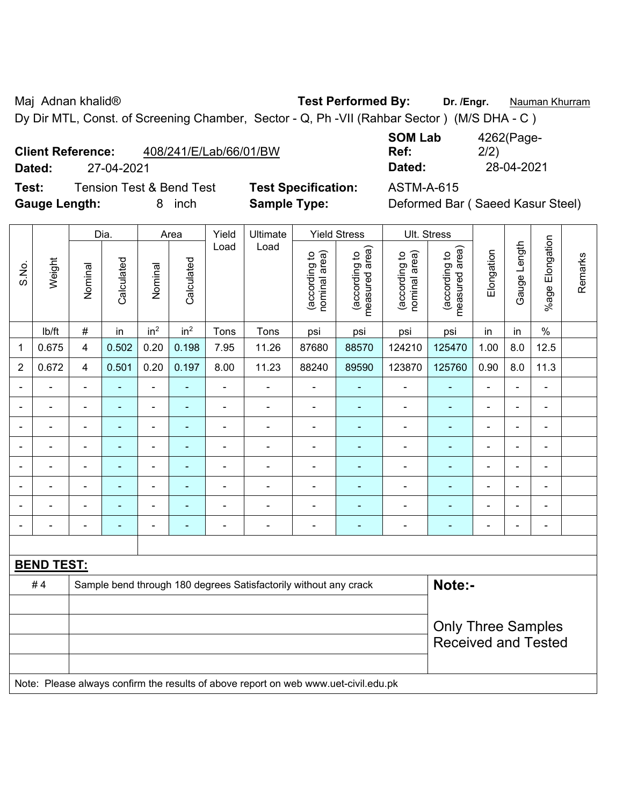Maj Adnan khalid® **Test Performed By: Dr. /Engr.** Nauman Khurram

Dy Dir MTL, Const. of Screening Chamber, Sector - Q, Ph -VII (Rahbar Sector ) (M/S DHA - C )

**Test:** Tension Test & Bend Test **Test Specification:** ASTM-A-615 **Gauge Length:** 8 inch **Sample Type:** Deformed Bar ( Saeed Kasur Steel)

**SOM Lab Ref:**  4262(Page-2/2) **Dated:** 27-04-2021 **Dated:** 28-04-2021

### Dia. | Area | Yield | Ultimate | Yield Stress | Ult. Stress %age Elongation %age Elongation Gauge Length Load Load Gauge Length (according to<br>measured area) measured area) (according to<br>measured area) measured area) (according to<br>nominal area) (according to<br>nominal area) Elongation nominal area) nominal area) Elongation (according to (according to (according to (according to Remarks Remarks **Calculated Calculated** Weight Calculated Calculated S.No. Nominal Nominal Vominal Vominal <code>ib/ft</code>  $\mid$  #  $\mid$  in  $\mid$  in<sup>2</sup>  $\mid$  in<sup>2</sup>  $\mid$  Tons  $\mid$  psi  $\mid$  psi  $\mid$  psi  $\mid$  psi  $\mid$  in  $\mid$  in  $\mid$  % 1 | 0.675 | 4 | 0.502 | 0.20 | 0.198 | 7.95 | 11.26 | 87680 | 88570 | 124210 | 125470 | 1.00 | 8.0 | 12.5 2 | 0.672 | 4 | 0.501 | 0.20 | 0.197 | 8.00 | 11.23 | 88240 | 89590 | 123870 | 125760 | 0.90 | 8.0 | 11.3 - - - - - - - - - - - - - - - - - - - - - - - - - - - - - - - - - - - - - - - - - - - - - - - - - - - - - - - - - - - - - - - - - - - - - - - - - - - - - - - - - - - - - - - - - - - - - - - - - - - - - - - - - - - - - - - - - - - - - - - - **BEND TEST:**  # 4 Sample bend through 180 degrees Satisfactorily without any crack **Note:-**Only Three Samples Received and Tested Note: Please always confirm the results of above report on web www.uet-civil.edu.pk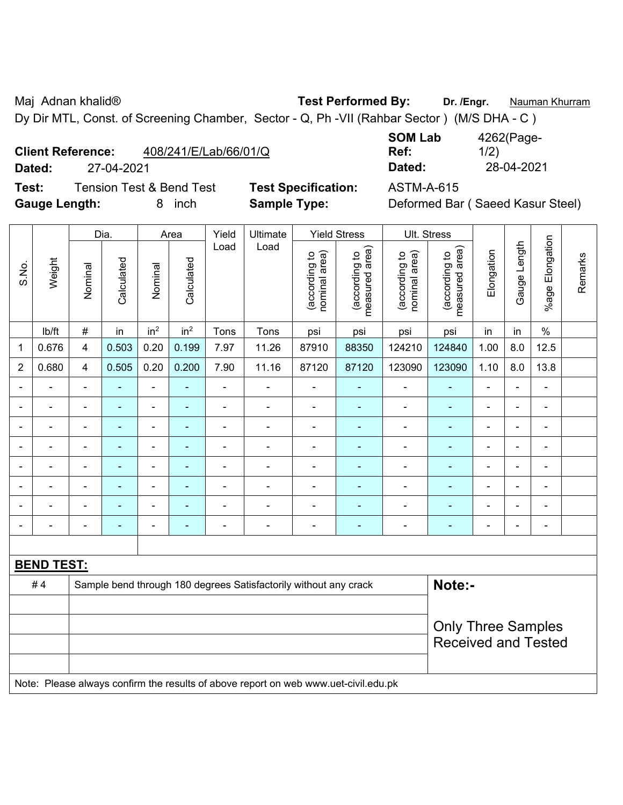Maj Adnan khalid® **Test Performed By: Dr. /Engr.** Nauman Khurram

Dy Dir MTL, Const. of Screening Chamber, Sector - Q, Ph -VII (Rahbar Sector ) (M/S DHA - C )

| <b>Client Reference:</b> | 408/241/E/Lab/66/01/Q |
|--------------------------|-----------------------|
|                          |                       |

**Test:** Tension Test & Bend Test **Test Specification:** ASTM-A-615 **Gauge Length:** 8 inch **Sample Type:** Deformed Bar ( Saeed Kasur Steel)

**SOM Lab Ref:**  4262(Page-1/2) **Dated:** 27-04-2021 **Dated:** 28-04-2021

|                |                   | Dia.                      |                | Area                     |                          | Yield          | Ultimate                                                                            |                                | <b>Yield Stress</b>             |                                | Ult. Stress                     |                |                |                 |         |
|----------------|-------------------|---------------------------|----------------|--------------------------|--------------------------|----------------|-------------------------------------------------------------------------------------|--------------------------------|---------------------------------|--------------------------------|---------------------------------|----------------|----------------|-----------------|---------|
| S.No.          | Weight            | Nominal                   | Calculated     | Nominal                  | Calculated               | Load           | Load                                                                                | nominal area)<br>(according to | (according to<br>measured area) | (according to<br>nominal area) | (according to<br>measured area) | Elongation     | Gauge Length   | %age Elongation | Remarks |
|                | Ib/ft             | $\#$                      | in             | in <sup>2</sup>          | in <sup>2</sup>          | Tons           | Tons                                                                                | psi                            | psi                             | psi                            | psi                             | in             | in             | $\%$            |         |
| 1              | 0.676             | $\overline{\mathbf{4}}$   | 0.503          | 0.20                     | 0.199                    | 7.97           | 11.26                                                                               | 87910                          | 88350                           | 124210                         | 124840                          | 1.00           | 8.0            | 12.5            |         |
| $\overline{2}$ | 0.680             | $\overline{4}$            | 0.505          | 0.20                     | 0.200                    | 7.90           | 11.16                                                                               | 87120                          | 87120                           | 123090                         | 123090                          | 1.10           | 8.0            | 13.8            |         |
| $\blacksquare$ | $\blacksquare$    | $\blacksquare$            | $\blacksquare$ | ÷,                       | $\blacksquare$           | $\blacksquare$ | $\blacksquare$                                                                      | $\blacksquare$                 | ٠                               | L,                             | ä,                              | $\blacksquare$ | $\blacksquare$ | $\blacksquare$  |         |
|                | $\blacksquare$    | $\blacksquare$            | $\blacksquare$ | $\blacksquare$           | $\blacksquare$           | $\blacksquare$ | ä,                                                                                  | $\blacksquare$                 | ä,                              | $\blacksquare$                 | ä,                              | $\blacksquare$ | ä,             | $\blacksquare$  |         |
|                |                   | $\blacksquare$            | $\blacksquare$ | $\blacksquare$           | $\overline{\phantom{a}}$ | Ē,             | $\blacksquare$                                                                      | $\blacksquare$                 | $\blacksquare$                  | $\overline{\phantom{a}}$       | $\blacksquare$                  | $\blacksquare$ | $\blacksquare$ | $\blacksquare$  |         |
|                | $\blacksquare$    | $\blacksquare$            | $\blacksquare$ | $\overline{\phantom{a}}$ | $\overline{\phantom{a}}$ | $\blacksquare$ | ÷                                                                                   | $\blacksquare$                 | $\blacksquare$                  | $\blacksquare$                 | ÷                               |                | $\blacksquare$ | $\blacksquare$  |         |
|                | $\blacksquare$    | $\blacksquare$            | $\blacksquare$ | $\blacksquare$           | $\blacksquare$           | $\blacksquare$ | $\blacksquare$                                                                      | $\blacksquare$                 | ÷                               | ä,                             | ä,                              | $\blacksquare$ | ä,             | $\blacksquare$  |         |
|                |                   |                           | $\blacksquare$ | $\blacksquare$           |                          |                |                                                                                     |                                | $\blacksquare$                  | $\blacksquare$                 | ÷,                              |                | $\blacksquare$ |                 |         |
|                |                   |                           |                | $\blacksquare$           |                          |                | $\blacksquare$                                                                      | $\blacksquare$                 | L.                              | $\blacksquare$                 | ä,                              |                | L              | $\blacksquare$  |         |
| $\blacksquare$ |                   | -                         | $\blacksquare$ | $\overline{\phantom{a}}$ | $\overline{\phantom{a}}$ | Ē,             | ÷                                                                                   | $\overline{\phantom{a}}$       | ٠                               |                                | ۰                               | $\blacksquare$ | $\blacksquare$ | $\blacksquare$  |         |
|                |                   |                           |                |                          |                          |                |                                                                                     |                                |                                 |                                |                                 |                |                |                 |         |
|                | <b>BEND TEST:</b> |                           |                |                          |                          |                |                                                                                     |                                |                                 |                                |                                 |                |                |                 |         |
|                | #4                |                           |                |                          |                          |                | Sample bend through 180 degrees Satisfactorily without any crack                    |                                |                                 |                                | Note:-                          |                |                |                 |         |
|                |                   |                           |                |                          |                          |                |                                                                                     |                                |                                 |                                |                                 |                |                |                 |         |
|                |                   | <b>Only Three Samples</b> |                |                          |                          |                |                                                                                     |                                |                                 |                                |                                 |                |                |                 |         |
|                |                   |                           |                |                          |                          |                |                                                                                     |                                |                                 |                                | <b>Received and Tested</b>      |                |                |                 |         |
|                |                   |                           |                |                          |                          |                |                                                                                     |                                |                                 |                                |                                 |                |                |                 |         |
|                |                   |                           |                |                          |                          |                | Note: Please always confirm the results of above report on web www.uet-civil.edu.pk |                                |                                 |                                |                                 |                |                |                 |         |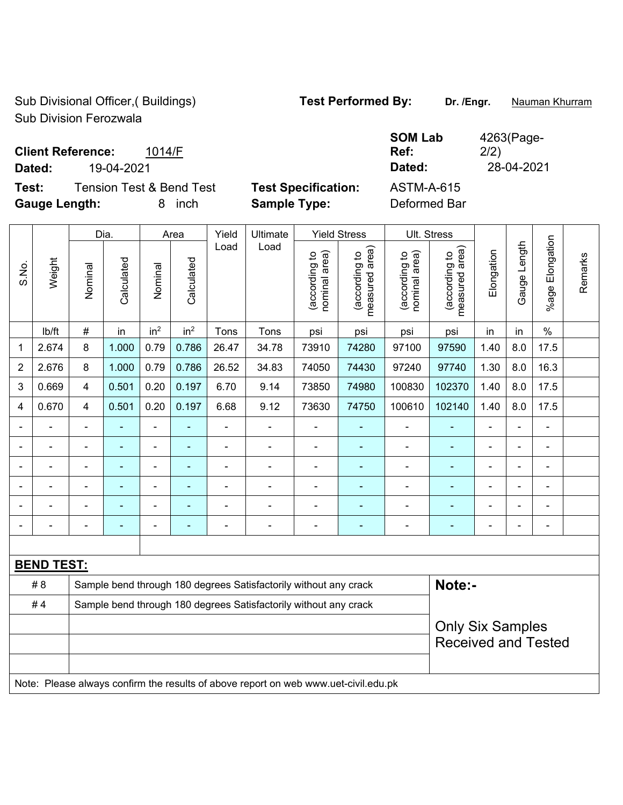Sub Divisional Officer,( Buildings) **Test Performed By:** Dr. /Engr. **Nauman Khurram** Sub Division Ferozwala

**SOM Lab Ref:** 

4263(Page-

2/2)

## **Client Reference:** 1014/F

**Dated:** 19-04-2021 **Dated:** 28-04-2021

**Test:** Tension Test & Bend Test **Test Specification:** ASTM-A-615 **Gauge Length:** 8 inch **Sample Type:** Deformed Bar

|                |                   |                                                                  | Dia.           |                 | Area            | Yield          | Ultimate                                                                            |                                | <b>Yield Stress</b>             |                                | Ult. Stress                     |                |                |                       |         |
|----------------|-------------------|------------------------------------------------------------------|----------------|-----------------|-----------------|----------------|-------------------------------------------------------------------------------------|--------------------------------|---------------------------------|--------------------------------|---------------------------------|----------------|----------------|-----------------------|---------|
| S.No.          | Weight            | Nominal                                                          | Calculated     | Nominal         | Calculated      | Load           | Load                                                                                | nominal area)<br>(according to | (according to<br>measured area) | (according to<br>nominal area) | (according to<br>measured area) | Elongation     | Gauge Length   | Elongation<br>$%$ age | Remarks |
|                | lb/ft             | #                                                                | in             | in <sup>2</sup> | in <sup>2</sup> | Tons           | Tons                                                                                | psi                            | psi                             | psi                            | psi                             | in             | in             | $\frac{0}{0}$         |         |
| 1              | 2.674             | 8                                                                | 1.000          | 0.79            | 0.786           | 26.47          | 34.78                                                                               | 73910                          | 74280                           | 97100                          | 97590                           | 1.40           | 8.0            | 17.5                  |         |
| $\overline{2}$ | 2.676             | 8                                                                | 1.000          | 0.79            | 0.786           | 26.52          | 34.83                                                                               | 74050                          | 74430                           | 97240                          | 97740                           | 1.30           | 8.0            | 16.3                  |         |
| 3              | 0.669             | 4                                                                | 0.501          | 0.20            | 0.197           | 6.70           | 9.14                                                                                | 73850                          | 74980                           | 100830                         | 102370                          | 1.40           | 8.0            | 17.5                  |         |
| $\overline{4}$ | 0.670             | 4                                                                | 0.501          | 0.20            | 0.197           | 6.68           | 9.12                                                                                | 73630                          | 74750                           | 100610                         | 102140                          | 1.40           | 8.0            | 17.5                  |         |
|                | ä,                | $\blacksquare$                                                   | $\blacksquare$ | ÷,              | $\blacksquare$  | $\blacksquare$ | $\blacksquare$                                                                      | $\overline{a}$                 | ٠                               | $\blacksquare$                 | ÷                               | $\blacksquare$ | $\blacksquare$ | $\frac{1}{2}$         |         |
|                | $\blacksquare$    | $\blacksquare$                                                   | $\blacksquare$ | $\blacksquare$  |                 | ÷,             | Ē,                                                                                  | ÷,                             | $\blacksquare$                  | $\blacksquare$                 | ٠                               | $\blacksquare$ |                | $\blacksquare$        |         |
| Ē,             | $\blacksquare$    | ÷                                                                | $\blacksquare$ | $\overline{a}$  | ۰               | Ē,             | $\blacksquare$                                                                      | ÷,                             | ÷,                              | $\blacksquare$                 | $\blacksquare$                  | $\blacksquare$ |                | $\blacksquare$        |         |
|                |                   |                                                                  |                |                 |                 |                | $\blacksquare$                                                                      | $\blacksquare$                 |                                 |                                | ۰                               |                |                | ÷                     |         |
|                |                   |                                                                  |                |                 |                 |                |                                                                                     | $\blacksquare$                 |                                 | $\blacksquare$                 | $\blacksquare$                  | $\blacksquare$ |                | $\blacksquare$        |         |
|                |                   |                                                                  | $\blacksquare$ | $\blacksquare$  |                 | Ē,             | L,                                                                                  | $\blacksquare$                 | ۰                               | $\blacksquare$                 | ٠                               | Ē,             |                | $\blacksquare$        |         |
|                |                   |                                                                  |                |                 |                 |                |                                                                                     |                                |                                 |                                |                                 |                |                |                       |         |
|                | <b>BEND TEST:</b> |                                                                  |                |                 |                 |                |                                                                                     |                                |                                 |                                |                                 |                |                |                       |         |
|                | # 8               |                                                                  |                |                 |                 |                | Sample bend through 180 degrees Satisfactorily without any crack                    |                                |                                 |                                | Note:-                          |                |                |                       |         |
|                | #4                | Sample bend through 180 degrees Satisfactorily without any crack |                |                 |                 |                |                                                                                     |                                |                                 |                                |                                 |                |                |                       |         |
|                |                   |                                                                  |                |                 |                 |                |                                                                                     |                                |                                 |                                | <b>Only Six Samples</b>         |                |                |                       |         |
|                |                   |                                                                  |                |                 |                 |                |                                                                                     |                                |                                 |                                | <b>Received and Tested</b>      |                |                |                       |         |
|                |                   |                                                                  |                |                 |                 |                |                                                                                     |                                |                                 |                                |                                 |                |                |                       |         |
|                |                   |                                                                  |                |                 |                 |                | Note: Please always confirm the results of above report on web www.uet-civil.edu.pk |                                |                                 |                                |                                 |                |                |                       |         |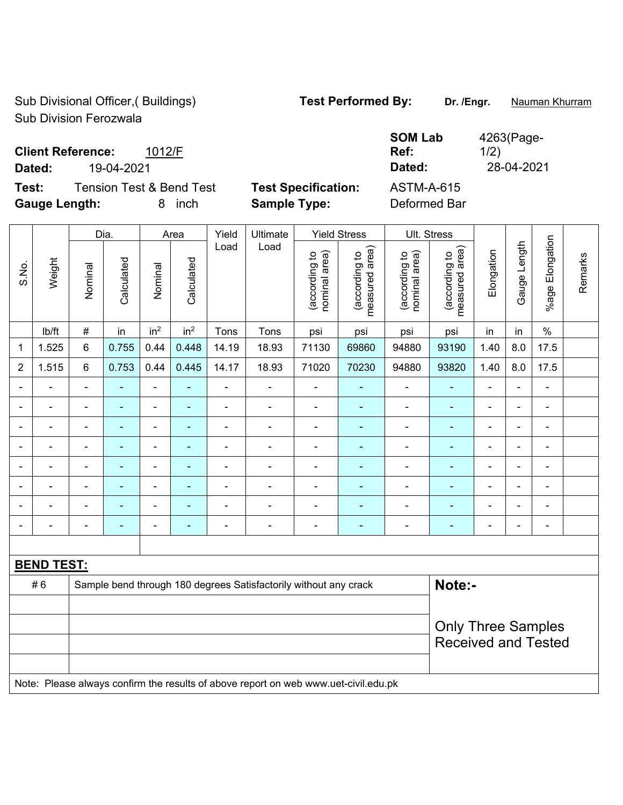Sub Divisional Officer,( Buildings) **Test Performed By:** Dr. /Engr. **Nauman Khurram** Sub Division Ferozwala

**SOM Lab** 

4263(Page-

## **Client Reference:** 1012/F

**Dated:** 19-04-2021 **Dated:** 28-04-2021

**Test:** Tension Test & Bend Test **Test Specification:** ASTM-A-615 **Gauge Length:** 8 inch **Sample Type:** Deformed Bar

|                |                                                                                     | Dia.                      |                |                          | Area            | Yield          | Ultimate                                                         |                                | <b>Yield Stress</b>             |                                | Ult. Stress                     |                |                |                          |         |
|----------------|-------------------------------------------------------------------------------------|---------------------------|----------------|--------------------------|-----------------|----------------|------------------------------------------------------------------|--------------------------------|---------------------------------|--------------------------------|---------------------------------|----------------|----------------|--------------------------|---------|
| S.No.          | Weight                                                                              | Nominal                   | Calculated     | Nominal                  | Calculated      | Load           | Load                                                             | (according to<br>nominal area) | measured area)<br>(according to | (according to<br>nominal area) | measured area)<br>(according to | Elongation     | Gauge Length   | Elongation<br>$%$ age    | Remarks |
|                | lb/ft                                                                               | $\#$                      | in             | in <sup>2</sup>          | in <sup>2</sup> | Tons           | Tons                                                             | psi                            | psi                             | psi                            | psi                             | in             | in             | $\%$                     |         |
| 1              | 1.525                                                                               | $6\phantom{1}6$           | 0.755          | 0.44                     | 0.448           | 14.19          | 18.93                                                            | 71130                          | 69860                           | 94880                          | 93190                           | 1.40           | 8.0            | 17.5                     |         |
| $\overline{2}$ | 1.515                                                                               | 6                         | 0.753          | 0.44                     | 0.445           | 14.17          | 18.93                                                            | 71020                          | 70230                           | 94880                          | 93820                           | 1.40           | 8.0            | 17.5                     |         |
|                |                                                                                     |                           |                | ÷                        |                 | $\blacksquare$ |                                                                  |                                |                                 |                                |                                 |                |                |                          |         |
|                |                                                                                     | $\blacksquare$            | $\blacksquare$ | $\frac{1}{2}$            |                 | $\blacksquare$ | ä,                                                               | $\blacksquare$                 |                                 | $\blacksquare$                 | $\blacksquare$                  | $\blacksquare$ |                | $\blacksquare$           |         |
|                |                                                                                     | ÷                         | $\blacksquare$ | ÷                        | $\blacksquare$  | $\blacksquare$ | ä,                                                               | $\blacksquare$                 | $\blacksquare$                  | $\blacksquare$                 | $\blacksquare$                  | $\blacksquare$ | $\blacksquare$ | $\overline{\phantom{a}}$ |         |
|                |                                                                                     | ÷                         | $\blacksquare$ | $\overline{\phantom{a}}$ |                 | $\blacksquare$ |                                                                  | $\blacksquare$                 |                                 | $\blacksquare$                 | $\overline{\phantom{0}}$        | $\blacksquare$ |                | $\blacksquare$           |         |
|                |                                                                                     | ä,                        | $\blacksquare$ | $\blacksquare$           | $\blacksquare$  | $\blacksquare$ | ä,                                                               | $\blacksquare$                 | $\blacksquare$                  | $\frac{1}{2}$                  | ÷,                              | $\blacksquare$ |                | ä,                       |         |
|                |                                                                                     |                           | $\blacksquare$ | ÷                        |                 | -              | $\overline{a}$                                                   | $\blacksquare$                 |                                 | $\blacksquare$                 |                                 |                |                | $\overline{\phantom{0}}$ |         |
|                |                                                                                     |                           |                | $\overline{\phantom{a}}$ |                 | -              | $\overline{a}$                                                   | $\blacksquare$                 |                                 | $\overline{\phantom{0}}$       | Ē.                              | $\blacksquare$ |                | $\overline{\phantom{a}}$ |         |
|                |                                                                                     | $\blacksquare$            | $\blacksquare$ | ÷                        | $\blacksquare$  | $\blacksquare$ | $\overline{\phantom{a}}$                                         | $\blacksquare$                 | $\blacksquare$                  | ÷,                             | $\blacksquare$                  | $\blacksquare$ | $\blacksquare$ | $\blacksquare$           |         |
|                |                                                                                     |                           |                |                          |                 |                |                                                                  |                                |                                 |                                |                                 |                |                |                          |         |
|                | <b>BEND TEST:</b>                                                                   |                           |                |                          |                 |                |                                                                  |                                |                                 |                                |                                 |                |                |                          |         |
|                | #6                                                                                  |                           |                |                          |                 |                | Sample bend through 180 degrees Satisfactorily without any crack |                                |                                 |                                | Note:-                          |                |                |                          |         |
|                |                                                                                     |                           |                |                          |                 |                |                                                                  |                                |                                 |                                |                                 |                |                |                          |         |
|                |                                                                                     | <b>Only Three Samples</b> |                |                          |                 |                |                                                                  |                                |                                 |                                |                                 |                |                |                          |         |
|                |                                                                                     |                           |                |                          |                 |                |                                                                  |                                |                                 |                                | <b>Received and Tested</b>      |                |                |                          |         |
|                |                                                                                     |                           |                |                          |                 |                |                                                                  |                                |                                 |                                |                                 |                |                |                          |         |
|                | Note: Please always confirm the results of above report on web www.uet-civil.edu.pk |                           |                |                          |                 |                |                                                                  |                                |                                 |                                |                                 |                |                |                          |         |

**Ref:**  1/2)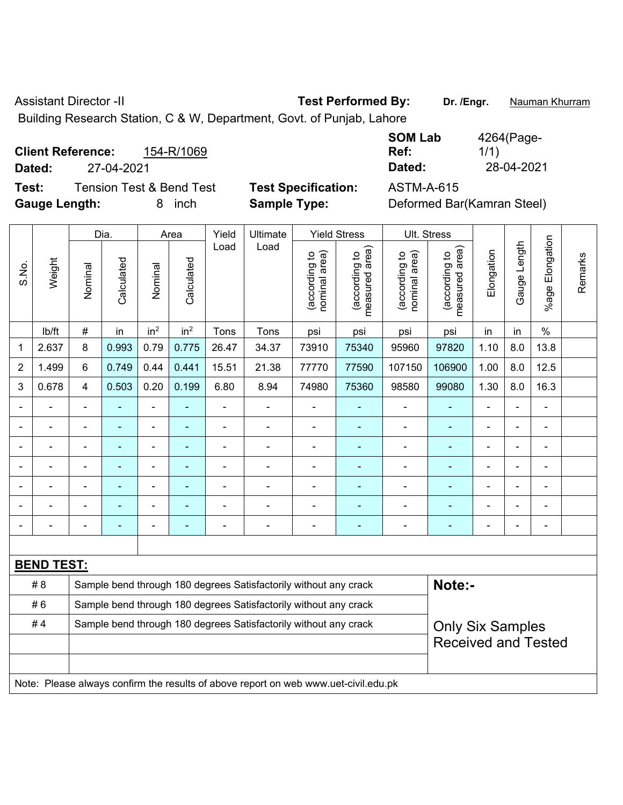Assistant Director -II **Test Performed By:** Dr. /Engr. **Nauman Khurram** 

Building Research Station, C & W, Department, Govt. of Punjab, Lahore

|        | 154-R/1069<br><b>Client Reference:</b> |                        |
|--------|----------------------------------------|------------------------|
| Dated: | 27-04-2021                             |                        |
| Test:  | Tension Test & Bend Test               | <b>Test Specificat</b> |

**SOM Lab Ref:**  4264(Page-1/1) **Dated:** 27-04-2021 **Dated:** 28-04-2021

**Gauge Length:** 8 inch **Sample Type:** Deformed Bar(Kamran Steel)

**Test: Test Specification:** ASTM-A-615

|                |                   |                | Dia.                     |                 |                    | Yield          | Ultimate                                                                            |                                | <b>Yield Stress</b>                         |                                | Ult. Stress                                           |                          |                |                 |         |
|----------------|-------------------|----------------|--------------------------|-----------------|--------------------|----------------|-------------------------------------------------------------------------------------|--------------------------------|---------------------------------------------|--------------------------------|-------------------------------------------------------|--------------------------|----------------|-----------------|---------|
| S.No.          | Weight            | Nominal        | Calculated               | Nominal         | Area<br>Calculated | Load           | Load                                                                                | nominal area)<br>(according to | (according to<br>neasured area)<br>measured | (according to<br>nominal area) | measured area)<br>(according to                       | Elongation               | Gauge Length   | %age Elongation | Remarks |
|                | Ib/ft             | #              | in                       | in <sup>2</sup> | in <sup>2</sup>    | Tons           | Tons                                                                                | psi                            | psi                                         | psi                            | psi                                                   | in                       | in             | $\%$            |         |
| 1              | 2.637             | 8              | 0.993                    | 0.79            | 0.775              | 26.47          | 34.37                                                                               | 73910                          | 75340                                       | 95960                          | 97820                                                 | 1.10                     | 8.0            | 13.8            |         |
| $\overline{2}$ | 1.499             | 6              | 0.749                    | 0.44            | 0.441              | 15.51          | 21.38                                                                               | 77770                          | 77590                                       | 107150                         | 106900                                                | 1.00                     | 8.0            | 12.5            |         |
| 3              | 0.678             | 4              | 0.503                    | 0.20            | 0.199              | 6.80           | 8.94                                                                                | 74980                          | 75360                                       | 98580                          | 99080                                                 | 1.30                     | 8.0            | 16.3            |         |
|                |                   | $\blacksquare$ | ÷,                       | ÷,              |                    | ÷,             | $\blacksquare$                                                                      | $\blacksquare$                 | $\blacksquare$                              | $\blacksquare$                 | $\blacksquare$                                        | ä,                       |                | ä,              |         |
|                | $\blacksquare$    | ÷              | ÷,                       | $\blacksquare$  |                    | $\blacksquare$ | $\blacksquare$                                                                      | L.                             | $\blacksquare$                              | $\blacksquare$                 | $\blacksquare$                                        |                          |                | L.              |         |
|                |                   |                |                          |                 |                    |                |                                                                                     |                                |                                             | L,                             | ä,                                                    |                          |                | $\blacksquare$  |         |
|                |                   |                |                          | $\blacksquare$  |                    |                | $\blacksquare$                                                                      |                                |                                             | $\blacksquare$                 |                                                       |                          |                |                 |         |
| $\blacksquare$ | $\blacksquare$    | $\blacksquare$ | $\blacksquare$           | $\blacksquare$  | $\blacksquare$     | $\blacksquare$ | $\blacksquare$                                                                      | $\blacksquare$                 |                                             | $\overline{a}$                 | $\blacksquare$                                        | $\overline{\phantom{0}}$ | $\blacksquare$ | $\blacksquare$  |         |
|                |                   | ÷              |                          | $\blacksquare$  |                    |                | $\blacksquare$                                                                      | ä,                             | $\overline{\phantom{a}}$                    | $\overline{a}$                 | $\blacksquare$                                        | $\blacksquare$           |                | $\blacksquare$  |         |
|                |                   | $\blacksquare$ | $\overline{\phantom{0}}$ | $\blacksquare$  |                    | $\blacksquare$ | $\overline{a}$                                                                      | ä,                             | $\overline{\phantom{a}}$                    | $\blacksquare$                 | $\blacksquare$                                        | $\blacksquare$           |                | $\blacksquare$  |         |
|                |                   |                |                          |                 |                    |                |                                                                                     |                                |                                             |                                |                                                       |                          |                |                 |         |
|                | <b>BEND TEST:</b> |                |                          |                 |                    |                |                                                                                     |                                |                                             |                                |                                                       |                          |                |                 |         |
|                | # 8               |                |                          |                 |                    |                | Sample bend through 180 degrees Satisfactorily without any crack                    |                                |                                             |                                | Note:-                                                |                          |                |                 |         |
|                | #6                |                |                          |                 |                    |                | Sample bend through 180 degrees Satisfactorily without any crack                    |                                |                                             |                                |                                                       |                          |                |                 |         |
|                | #4                |                |                          |                 |                    |                | Sample bend through 180 degrees Satisfactorily without any crack                    |                                |                                             |                                | <b>Only Six Samples</b><br><b>Received and Tested</b> |                          |                |                 |         |
|                |                   |                |                          |                 |                    |                | Note: Please always confirm the results of above report on web www.uet-civil.edu.pk |                                |                                             |                                |                                                       |                          |                |                 |         |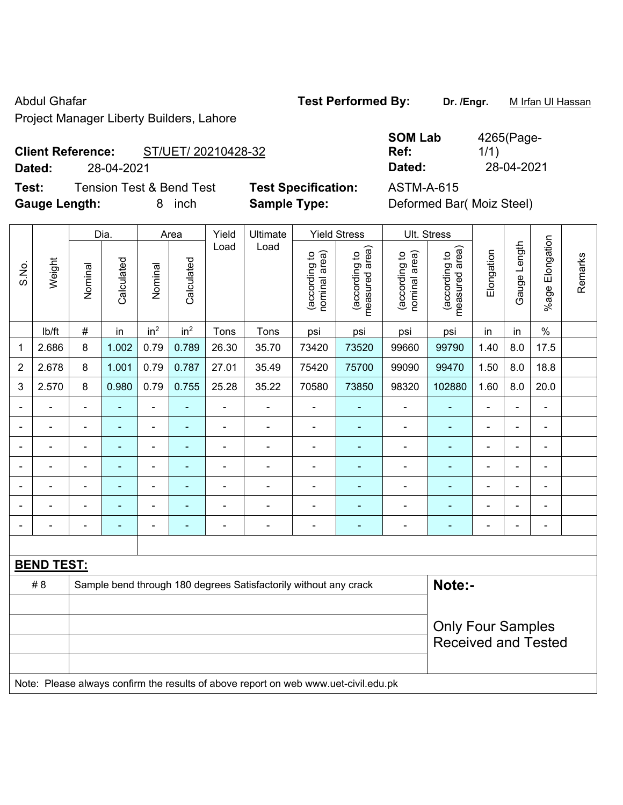Project Manager Liberty Builders, Lahore

# **Client Reference:** ST/UET/ 20210428-32

**Dated:** 28-04-2021 **Dated:** 28-04-2021

**Test:** Tension Test & Bend Test **Test Specification:** ASTM-A-615 **Gauge Length:** 8 inch **Sample Type:** Deformed Bar( Moiz Steel)

|                | −−∙∙ອ… |         |            |                 |                 |       |          |                                | $\sim$ $\sim$ $\sim$ $\cdot$ $\prime$       |                                |                                      |            |                 |                    |  |
|----------------|--------|---------|------------|-----------------|-----------------|-------|----------|--------------------------------|---------------------------------------------|--------------------------------|--------------------------------------|------------|-----------------|--------------------|--|
|                |        |         | Dia.       |                 | Area            | Yield | Ultimate |                                | <b>Yield Stress</b>                         |                                | Ult. Stress                          |            |                 |                    |  |
| S.No.          | Weight | Nominal | Calculated | Nominal         | Calculated      | Load  | Load     | nominal area)<br>(according to | area)<br>$\sigma$<br>(according<br>measured | nominal area)<br>(according to | area)<br>ą<br>(according<br>measured | Elongation | Length<br>Gauge | Elongation<br>%age |  |
|                | lb/ft  | #       | in         | in <sup>2</sup> | in <sup>2</sup> | Tons  | Tons     | psi                            | psi                                         | psi                            | psi                                  | in         | in              | $\frac{0}{0}$      |  |
| 1              | 2.686  | 8       | 1.002      | 0.79            | 0.789           | 26.30 | 35.70    | 73420                          | 73520                                       | 99660                          | 99790                                | 1.40       | 8.0             | 17.5               |  |
| $\overline{2}$ | 2.678  | 8       | 1.001      | 0.79            | 0.787           | 27.01 | 35.49    | 75420                          | 75700                                       | 99090                          | 99470                                | 1.50       | 8.0             | 18.8               |  |
| 3              | 2.570  | 8       | 0.980      | 0.79            | 0.755           | 25.28 | 35.22    | 70580                          | 73850                                       | 98320                          | 102880                               | 1.60       | 8.0             | 20.0               |  |
| -              |        |         |            | ۰               |                 |       |          |                                |                                             |                                |                                      |            |                 |                    |  |
|                |        |         |            |                 |                 |       |          |                                |                                             |                                |                                      |            |                 |                    |  |
| $\blacksquare$ |        |         |            | -               |                 |       |          |                                |                                             |                                |                                      |            | -               |                    |  |
|                |        |         |            |                 |                 |       |          |                                |                                             |                                |                                      |            |                 |                    |  |
|                |        |         |            |                 |                 |       |          |                                |                                             |                                |                                      |            |                 |                    |  |

- - - - - - - - - - - - - - - - - - - - - - - - - - - - - - - - - - - - - - - - - - - - -

|     | <b>BEND TEST:</b> |                                                                                     |                            |  |  |  |  |  |  |  |  |
|-----|-------------------|-------------------------------------------------------------------------------------|----------------------------|--|--|--|--|--|--|--|--|
| # 8 |                   | Sample bend through 180 degrees Satisfactorily without any crack                    | Note:-                     |  |  |  |  |  |  |  |  |
|     |                   |                                                                                     |                            |  |  |  |  |  |  |  |  |
|     |                   |                                                                                     | <b>Only Four Samples</b>   |  |  |  |  |  |  |  |  |
|     |                   |                                                                                     | <b>Received and Tested</b> |  |  |  |  |  |  |  |  |
|     |                   |                                                                                     |                            |  |  |  |  |  |  |  |  |
|     |                   | Note: Please always confirm the results of above report on web www.uet-civil.edu.pk |                            |  |  |  |  |  |  |  |  |

**SOM Lab Ref:**  4265(Page-1/1)

Remarks

Remarks

Abdul Ghafar **Test Performed By:** Dr. /Engr. M Irfan Ul Hassan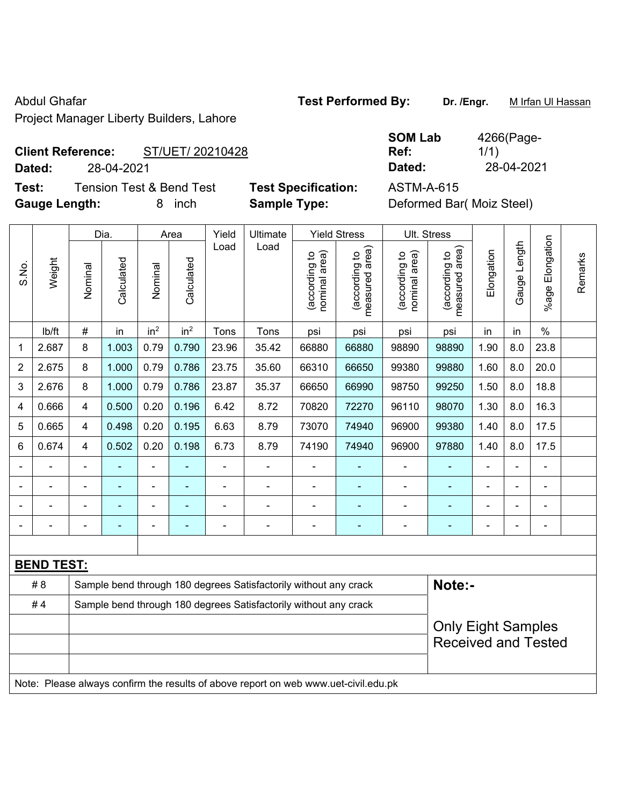Project Manager Liberty Builders, Lahore

## Abdul Ghafar **Test Performed By:** Dr. /Engr. M Irfan Ul Hassan

**Client Reference:** ST/UET/ 20210428

**Dated:** 28-04-2021 **Dated:** 28-04-2021

**Test:** Tension Test & Bend Test **Test Specification:** ASTM-A-615 **Gauge Length:** 8 inch **Sample Type:** Deformed Bar( Moiz Steel)

| <b>SOM Lab</b> | 4266(Page- |
|----------------|------------|
| Ref:           | 1/1)       |
| Dated:         | 28-04-2021 |

|                |                                                                                     |                                                                  | Dia.           |                 | Area            | Yield          | Ultimate                                                         |                                | <b>Yield Stress</b>             |                                | Ult. Stress                       |                |              |                       |         |
|----------------|-------------------------------------------------------------------------------------|------------------------------------------------------------------|----------------|-----------------|-----------------|----------------|------------------------------------------------------------------|--------------------------------|---------------------------------|--------------------------------|-----------------------------------|----------------|--------------|-----------------------|---------|
| S.No.          | Weight                                                                              | Nominal                                                          | Calculated     | Nominal         | Calculated      | Load           | Load                                                             | nominal area)<br>(according to | measured area)<br>(according to | nominal area)<br>(according to | (according to  <br>measured area) | Elongation     | Gauge Length | Elongation<br>$%$ age | Remarks |
|                | Ib/ft                                                                               | $\#$                                                             | in             | in <sup>2</sup> | in <sup>2</sup> | Tons           | Tons                                                             | psi                            | psi                             | psi                            | psi                               | in             | in           | $\%$                  |         |
| 1              | 2.687                                                                               | 8                                                                | 1.003          | 0.79            | 0.790           | 23.96          | 35.42                                                            | 66880                          | 66880                           | 98890                          | 98890                             | 1.90           | 8.0          | 23.8                  |         |
| $\overline{2}$ | 2.675                                                                               | 8                                                                | 1.000          | 0.79            | 0.786           | 23.75          | 35.60                                                            | 66310                          | 66650                           | 99380                          | 99880                             | 1.60           | 8.0          | 20.0                  |         |
| 3              | 2.676                                                                               | 8                                                                | 1.000          | 0.79            | 0.786           | 23.87          | 35.37                                                            | 66650                          | 66990                           | 98750                          | 99250                             | 1.50           | 8.0          | 18.8                  |         |
| $\overline{4}$ | 0.666                                                                               | $\overline{4}$                                                   | 0.500          | 0.20            | 0.196           | 6.42           | 8.72                                                             | 70820                          | 72270                           | 96110                          | 98070                             | 1.30           | 8.0          | 16.3                  |         |
| 5              | 0.665                                                                               | $\overline{4}$                                                   | 0.498          | 0.20            | 0.195           | 6.63           | 8.79                                                             | 73070                          | 74940                           | 96900                          | 99380                             | 1.40           | 8.0          | 17.5                  |         |
| 6              | 0.674                                                                               | $\overline{4}$                                                   | 0.502          | 0.20            | 0.198           | 6.73           | 8.79                                                             | 74190                          | 74940                           | 96900                          | 97880                             | 1.40           | 8.0          | 17.5                  |         |
|                |                                                                                     |                                                                  |                | L,              |                 |                | $\blacksquare$                                                   |                                |                                 | ÷,                             | $\blacksquare$                    |                |              |                       |         |
|                |                                                                                     |                                                                  |                |                 |                 | Ē,             | $\overline{a}$                                                   | L,                             |                                 | ÷                              |                                   |                |              | $\blacksquare$        |         |
|                |                                                                                     |                                                                  | ۰              |                 |                 | Ē,             |                                                                  | ä,                             |                                 | ÷                              | ٠                                 | $\blacksquare$ | ä,           | $\blacksquare$        |         |
|                |                                                                                     |                                                                  | $\blacksquare$ |                 | ۰               | $\blacksquare$ | $\blacksquare$                                                   | $\blacksquare$                 | $\blacksquare$                  | ۰                              | $\blacksquare$                    | $\blacksquare$ |              | $\blacksquare$        |         |
|                |                                                                                     |                                                                  |                |                 |                 |                |                                                                  |                                |                                 |                                |                                   |                |              |                       |         |
|                | <b>BEND TEST:</b>                                                                   |                                                                  |                |                 |                 |                |                                                                  |                                |                                 |                                |                                   |                |              |                       |         |
|                | # 8                                                                                 |                                                                  |                |                 |                 |                | Sample bend through 180 degrees Satisfactorily without any crack |                                |                                 |                                | Note:-                            |                |              |                       |         |
|                | #4                                                                                  | Sample bend through 180 degrees Satisfactorily without any crack |                |                 |                 |                |                                                                  |                                |                                 |                                |                                   |                |              |                       |         |
|                |                                                                                     |                                                                  |                |                 |                 |                |                                                                  |                                |                                 |                                | <b>Only Eight Samples</b>         |                |              |                       |         |
|                |                                                                                     |                                                                  |                |                 |                 |                |                                                                  |                                |                                 |                                | <b>Received and Tested</b>        |                |              |                       |         |
|                |                                                                                     |                                                                  |                |                 |                 |                |                                                                  |                                |                                 |                                |                                   |                |              |                       |         |
|                | Note: Please always confirm the results of above report on web www.uet-civil.edu.pk |                                                                  |                |                 |                 |                |                                                                  |                                |                                 |                                |                                   |                |              |                       |         |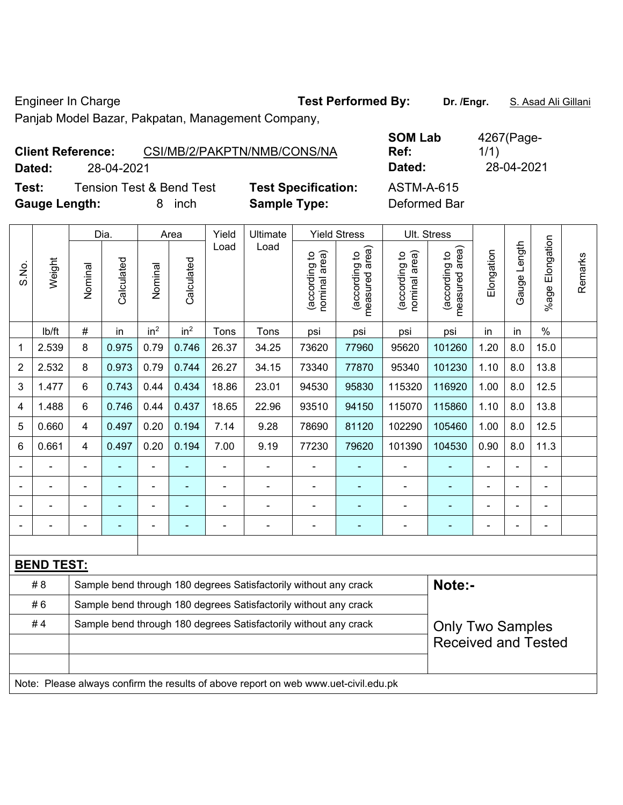Engineer In Charge **Test Performed By:** Dr. /Engr. **S. Asad Ali Gillani** 

Panjab Model Bazar, Pakpatan, Management Company,

|        | <b>Client Reference:</b> |                          | CSI/MB/2/PAKPTN/NMB/CONS/NA | <b>SOM Lab</b><br>Ref: | 4267(Page-<br>1/1) |
|--------|--------------------------|--------------------------|-----------------------------|------------------------|--------------------|
| Dated: | 28-04-2021               |                          |                             | Dated:                 | 28-04-2021         |
| Test:  |                          | Tension Test & Bend Test | <b>Test Specification:</b>  | ASTM-A-615             |                    |

**Test:** Tension Test & Bend Test Test Specification **Gauge Length:** 8 inch **Sample Type:** Deformed Bar

|                |                   |                | Dia.                                                             |                 | Area            | Yield | Ultimate                                                         |                                | <b>Yield Stress</b>                |                                | Ult. Stress                     |                |              |                       |         |
|----------------|-------------------|----------------|------------------------------------------------------------------|-----------------|-----------------|-------|------------------------------------------------------------------|--------------------------------|------------------------------------|--------------------------------|---------------------------------|----------------|--------------|-----------------------|---------|
| S.No.          | Weight            | Nominal        | Calculated                                                       | Nominal         | Calculated      | Load  | Load                                                             | nominal area)<br>(according to | area)<br>(according to<br>measured | nominal area)<br>(according to | (according to<br>measured area) | Elongation     | Gauge Length | Elongation<br>$%$ age | Remarks |
|                | lb/ft             | #              | in                                                               | in <sup>2</sup> | in <sup>2</sup> | Tons  | Tons                                                             | psi                            | psi                                | psi                            | psi                             | in             | in           | $\%$                  |         |
| 1              | 2.539             | 8              | 0.975                                                            | 0.79            | 0.746           | 26.37 | 34.25                                                            | 73620                          | 77960                              | 95620                          | 101260                          | 1.20           | 8.0          | 15.0                  |         |
| $\overline{2}$ | 2.532             | 8              | 0.973                                                            | 0.79            | 0.744           | 26.27 | 34.15                                                            | 73340                          | 77870                              | 95340                          | 101230                          | 1.10           | 8.0          | 13.8                  |         |
| 3              | 1.477             | 6              | 0.743                                                            | 0.44            | 0.434           | 18.86 | 23.01                                                            | 94530                          | 95830                              | 115320                         | 116920                          | 1.00           | 8.0          | 12.5                  |         |
| 4              | 1.488             | 6              | 0.746                                                            | 0.44            | 0.437           | 18.65 | 22.96                                                            | 93510                          | 94150                              | 115070                         | 115860                          | 1.10           | 8.0          | 13.8                  |         |
| 5              | 0.660             | 4              | 0.497                                                            | 0.20            | 0.194           | 7.14  | 9.28                                                             | 78690                          | 81120                              | 102290                         | 105460                          | 1.00           | 8.0          | 12.5                  |         |
| 6              | 0.661             | 4              | 0.497                                                            | 0.20            | 0.194           | 7.00  | 9.19                                                             | 77230                          | 79620                              | 101390                         | 104530                          | 0.90           | 8.0          | 11.3                  |         |
|                |                   | ä,             |                                                                  | $\blacksquare$  | ÷               |       | ÷                                                                |                                |                                    | $\overline{\phantom{a}}$       | ٠                               | L,             |              | $\blacksquare$        |         |
|                |                   |                |                                                                  |                 |                 |       |                                                                  |                                |                                    |                                |                                 |                |              |                       |         |
|                |                   | Ē,             |                                                                  | -               | ۳               |       |                                                                  |                                |                                    | -                              | $\overline{\phantom{0}}$        |                |              | $\blacksquare$        |         |
|                |                   | $\blacksquare$ |                                                                  | $\blacksquare$  | ۰               |       | $\blacksquare$                                                   |                                | $\blacksquare$                     | -                              | ۰                               | $\blacksquare$ |              | $\blacksquare$        |         |
|                |                   |                |                                                                  |                 |                 |       |                                                                  |                                |                                    |                                |                                 |                |              |                       |         |
|                | <b>BEND TEST:</b> |                |                                                                  |                 |                 |       |                                                                  |                                |                                    |                                |                                 |                |              |                       |         |
|                | # 8               |                | Sample bend through 180 degrees Satisfactorily without any crack |                 |                 |       |                                                                  |                                |                                    |                                | Note:-                          |                |              |                       |         |
|                | #6                |                |                                                                  |                 |                 |       | Sample bend through 180 degrees Satisfactorily without any crack |                                |                                    |                                |                                 |                |              |                       |         |
|                | #4                |                |                                                                  |                 |                 |       | Sample bend through 180 degrees Satisfactorily without any crack |                                |                                    |                                | <b>Only Two Samples</b>         |                |              |                       |         |
|                |                   |                |                                                                  |                 |                 |       |                                                                  |                                |                                    |                                | <b>Received and Tested</b>      |                |              |                       |         |
|                |                   |                |                                                                  |                 |                 |       |                                                                  |                                |                                    |                                |                                 |                |              |                       |         |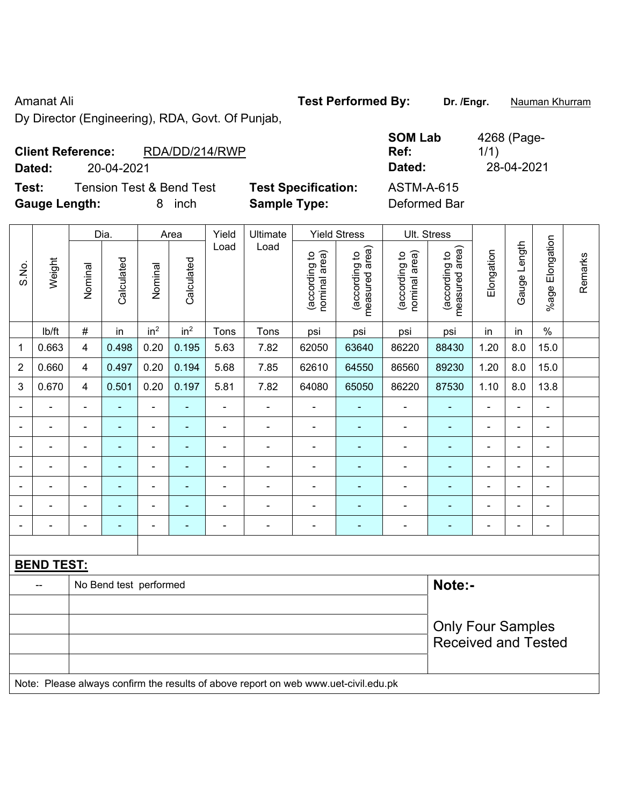Amanat Ali **Amanat Ali Test Performed By:** Dr. /Engr. **Nauman Khurram** 

Dy Director (Engineering), RDA, Govt. Of Punjab,

| <b>Client Reference:</b> |            | RDA/DD/214/RWP                      |                            | <b>SOM Lab</b><br>Ref: | 4268 (Page-<br>1/1 |
|--------------------------|------------|-------------------------------------|----------------------------|------------------------|--------------------|
| Dated:                   | 20-04-2021 |                                     |                            | Dated:                 | 28-04-2021         |
| Test:                    |            | <b>Tension Test &amp; Bend Test</b> | <b>Test Specification:</b> | <b>ASTM-A-615</b>      |                    |
| <b>Gauge Length:</b>     |            | inch                                | <b>Sample Type:</b>        | Deformed Bar           |                    |

|                |                                                                                     |                         | Dia.                   |                          | Area                     | Yield          | Ultimate       |                                | <b>Yield Stress</b>               |                                | Ult. Stress                     |                |                |                          |         |
|----------------|-------------------------------------------------------------------------------------|-------------------------|------------------------|--------------------------|--------------------------|----------------|----------------|--------------------------------|-----------------------------------|--------------------------------|---------------------------------|----------------|----------------|--------------------------|---------|
| S.No.          | Weight                                                                              | Nominal                 | Calculated             | Nominal                  | Calculated               | Load           | Load           | (according to<br>nominal area) | (according to  <br>measured area) | (according to<br>nominal area) | (according to<br>measured area) | Elongation     | Gauge Length   | %age Elongation          | Remarks |
|                | Ib/ft                                                                               | $\#$                    | in                     | in <sup>2</sup>          | in <sup>2</sup>          | Tons           | Tons           | psi                            | psi                               | psi                            | psi                             | in             | in             | $\frac{0}{0}$            |         |
| 1              | 0.663                                                                               | $\overline{4}$          | 0.498                  | 0.20                     | 0.195                    | 5.63           | 7.82           | 62050                          | 63640                             | 86220                          | 88430                           | 1.20           | 8.0            | 15.0                     |         |
| $\overline{2}$ | 0.660                                                                               | $\overline{\mathbf{4}}$ | 0.497                  | 0.20                     | 0.194                    | 5.68           | 7.85           | 62610                          | 64550                             | 86560                          | 89230                           | 1.20           | 8.0            | 15.0                     |         |
| 3              | 0.670                                                                               | $\overline{\mathbf{4}}$ | 0.501                  | 0.20                     | 0.197                    | 5.81           | 7.82           | 64080                          | 65050                             | 86220                          | 87530                           | 1.10           | 8.0            | 13.8                     |         |
|                |                                                                                     | $\blacksquare$          | ä,                     | $\blacksquare$           | $\blacksquare$           | $\blacksquare$ | ÷              | $\blacksquare$                 | $\blacksquare$                    | $\blacksquare$                 | $\blacksquare$                  | $\blacksquare$ | $\blacksquare$ | ÷,                       |         |
|                | $\blacksquare$                                                                      | $\blacksquare$          | $\blacksquare$         | $\blacksquare$           | $\blacksquare$           | $\blacksquare$ | $\blacksquare$ | $\overline{\phantom{a}}$       | $\blacksquare$                    | $\blacksquare$                 | $\blacksquare$                  | $\blacksquare$ | $\blacksquare$ | $\blacksquare$           |         |
|                | $\blacksquare$                                                                      | $\blacksquare$          | $\blacksquare$         | $\overline{\phantom{a}}$ | $\blacksquare$           | ä,             | ä,             | $\blacksquare$                 | $\blacksquare$                    | $\blacksquare$                 | $\blacksquare$                  | $\blacksquare$ | ä,             | $\blacksquare$           |         |
|                |                                                                                     | ä,                      | ä,                     | ÷,                       | $\overline{\phantom{a}}$ | ä,             | ä,             | $\blacksquare$                 | ä,                                | $\blacksquare$                 | ä,                              |                |                | $\blacksquare$           |         |
|                |                                                                                     |                         | $\blacksquare$         | $\blacksquare$           |                          |                |                |                                | $\blacksquare$                    | -                              |                                 |                |                | $\blacksquare$           |         |
|                |                                                                                     |                         |                        | $\blacksquare$           |                          |                | $\blacksquare$ | $\blacksquare$                 | Ē.                                | ۳                              | $\blacksquare$                  |                |                | $\blacksquare$           |         |
|                |                                                                                     | -                       | ÷                      | $\blacksquare$           | $\blacksquare$           | $\blacksquare$ | $\frac{1}{2}$  | $\blacksquare$                 | ۰                                 | $\blacksquare$                 | ٠                               | $\blacksquare$ | $\blacksquare$ | $\overline{\phantom{a}}$ |         |
|                |                                                                                     |                         |                        |                          |                          |                |                |                                |                                   |                                |                                 |                |                |                          |         |
|                | <b>BEND TEST:</b>                                                                   |                         |                        |                          |                          |                |                |                                |                                   |                                |                                 |                |                |                          |         |
|                |                                                                                     |                         | No Bend test performed |                          |                          |                |                |                                |                                   |                                | Note:-                          |                |                |                          |         |
|                |                                                                                     |                         |                        |                          |                          |                |                |                                |                                   |                                |                                 |                |                |                          |         |
|                |                                                                                     |                         |                        |                          |                          |                |                |                                |                                   |                                | <b>Only Four Samples</b>        |                |                |                          |         |
|                |                                                                                     |                         |                        |                          |                          |                |                |                                |                                   |                                | <b>Received and Tested</b>      |                |                |                          |         |
|                |                                                                                     |                         |                        |                          |                          |                |                |                                |                                   |                                |                                 |                |                |                          |         |
|                | Note: Please always confirm the results of above report on web www.uet-civil.edu.pk |                         |                        |                          |                          |                |                |                                |                                   |                                |                                 |                |                |                          |         |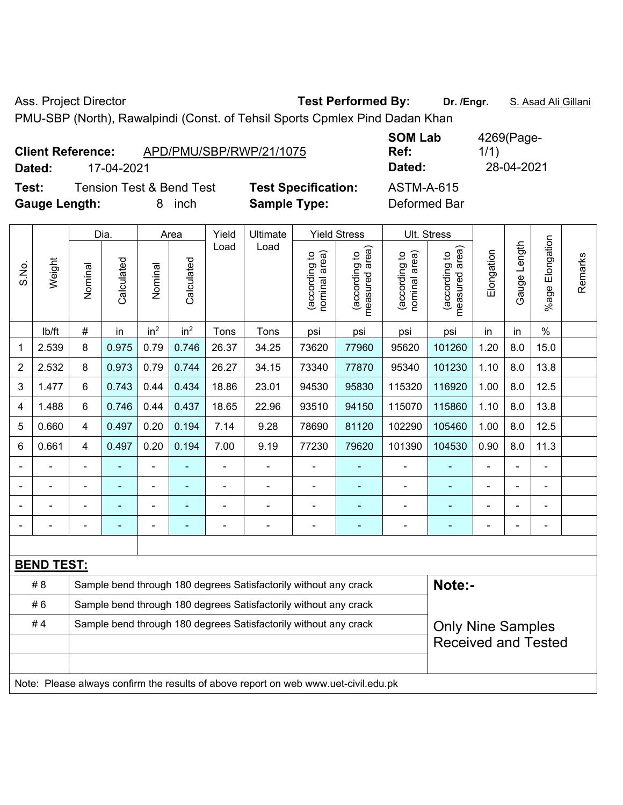Ass. Project Director **Test Performed By:** Dr. /Engr. **S. Asad Ali Gillani** 

PMU-SBP (North), Rawalpindi (Const. of Tehsil Sports Cpmlex Pind Dadan Khan

| <b>Client Reference:</b> |            | APD/PMU/SBP/RWP/21/1075  |                            | <b>SOM LAD</b><br>Ref: | 4269(Page-<br>1/1) |
|--------------------------|------------|--------------------------|----------------------------|------------------------|--------------------|
| Dated:                   | 17-04-2021 |                          |                            | Dated:                 | 28-04-2021         |
| Test:                    |            | Tension Test & Bend Test | <b>Test Specification:</b> | <b>ASTM-A-615</b>      |                    |
| <b>Gauge Length:</b>     |            | inch                     | <b>Sample Type:</b>        | Deformed Bar           |                    |

| <b>SOM Lab</b><br>Ref: | 4269(Page-<br>1/1) |
|------------------------|--------------------|
| Dated:                 | 28-04-2021         |
| ASTM-A-615             |                    |

|                                                                                     |                                                                         | Dia.           |            | Area            |                 | Yield                                                            | <b>Ultimate</b>            | <b>Yield Stress</b>            |                                 | Ult. Stress                    |                                 |                |              |                       |         |
|-------------------------------------------------------------------------------------|-------------------------------------------------------------------------|----------------|------------|-----------------|-----------------|------------------------------------------------------------------|----------------------------|--------------------------------|---------------------------------|--------------------------------|---------------------------------|----------------|--------------|-----------------------|---------|
| S.No.                                                                               | Weight                                                                  | Nominal        | Calculated | Nominal         | Calculated      | Load                                                             | Load                       | nominal area)<br>(according to | (according to<br>measured area) | nominal area)<br>(according to | (according to<br>measured area) | Elongation     | Gauge Length | Elongation<br>$%$ age | Remarks |
|                                                                                     | lb/ft                                                                   | #              | in         | in <sup>2</sup> | in <sup>2</sup> | Tons                                                             | Tons                       | psi                            | psi                             | psi                            | psi                             | in             | in           | $\frac{0}{0}$         |         |
| 1                                                                                   | 2.539                                                                   | 8              | 0.975      | 0.79            | 0.746           | 26.37                                                            | 34.25                      | 73620                          | 77960                           | 95620                          | 101260                          | 1.20           | 8.0          | 15.0                  |         |
| $\overline{2}$                                                                      | 2.532                                                                   | 8              | 0.973      | 0.79            | 0.744           | 26.27                                                            | 34.15                      | 73340                          | 77870                           | 95340                          | 101230                          | 1.10           | 8.0          | 13.8                  |         |
| 3                                                                                   | 1.477                                                                   | 6              | 0.743      | 0.44            | 0.434           | 18.86                                                            | 23.01                      | 94530                          | 95830                           | 115320                         | 116920                          | 1.00           | 8.0          | 12.5                  |         |
| 4                                                                                   | 1.488                                                                   | 6              | 0.746      | 0.44            | 0.437           | 18.65                                                            | 22.96                      | 93510                          | 94150                           | 115070                         | 115860                          | 1.10           | 8.0          | 13.8                  |         |
| 5                                                                                   | 0.660                                                                   | 4              | 0.497      | 0.20            | 0.194           | 7.14                                                             | 9.28                       | 78690                          | 81120                           | 102290                         | 105460                          | 1.00           | 8.0          | 12.5                  |         |
| 6                                                                                   | 0.661                                                                   | 4              | 0.497      | 0.20            | 0.194           | 7.00                                                             | 9.19                       | 77230                          | 79620                           | 101390                         | 104530                          | 0.90           | 8.0          | 11.3                  |         |
|                                                                                     | ä,                                                                      | $\blacksquare$ |            | $\blacksquare$  |                 | ä,                                                               | $\blacksquare$             | $\blacksquare$                 | ä,                              | $\blacksquare$                 | ٠                               | $\blacksquare$ |              | $\blacksquare$        |         |
|                                                                                     | $\blacksquare$                                                          | $\blacksquare$ | ۰          | $\blacksquare$  |                 | $\blacksquare$                                                   | $\overline{\phantom{a}}$   | $\blacksquare$                 | $\overline{a}$                  | $\blacksquare$                 | ۰                               | $\blacksquare$ |              | $\blacksquare$        |         |
|                                                                                     | ÷,                                                                      | ä,             | ä,         | $\blacksquare$  |                 | $\blacksquare$                                                   | $\blacksquare$             | ä,                             | $\blacksquare$                  | $\blacksquare$                 | ÷                               | $\blacksquare$ |              | ÷,                    |         |
|                                                                                     | $\blacksquare$                                                          | $\blacksquare$ | ä,         | $\blacksquare$  |                 | $\blacksquare$                                                   | $\blacksquare$             | $\blacksquare$                 | $\blacksquare$                  | $\blacksquare$                 | ۰                               | $\blacksquare$ |              | $\blacksquare$        |         |
|                                                                                     |                                                                         |                |            |                 |                 |                                                                  |                            |                                |                                 |                                |                                 |                |              |                       |         |
|                                                                                     | <b>BEND TEST:</b>                                                       |                |            |                 |                 |                                                                  |                            |                                |                                 |                                |                                 |                |              |                       |         |
|                                                                                     | # 8<br>Sample bend through 180 degrees Satisfactorily without any crack |                |            |                 |                 |                                                                  |                            |                                |                                 |                                | Note:-                          |                |              |                       |         |
|                                                                                     | #6<br>Sample bend through 180 degrees Satisfactorily without any crack  |                |            |                 |                 |                                                                  |                            |                                |                                 |                                |                                 |                |              |                       |         |
| #4                                                                                  |                                                                         |                |            |                 |                 | Sample bend through 180 degrees Satisfactorily without any crack |                            |                                |                                 |                                | <b>Only Nine Samples</b>        |                |              |                       |         |
|                                                                                     |                                                                         |                |            |                 |                 |                                                                  | <b>Received and Tested</b> |                                |                                 |                                |                                 |                |              |                       |         |
|                                                                                     |                                                                         |                |            |                 |                 |                                                                  |                            |                                |                                 |                                |                                 |                |              |                       |         |
| Note: Please always confirm the results of above report on web www.uet-civil.edu.pk |                                                                         |                |            |                 |                 |                                                                  |                            |                                |                                 |                                |                                 |                |              |                       |         |